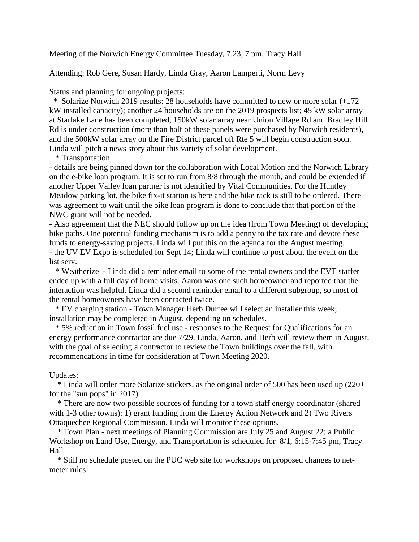Meeting of the Norwich Energy Committee Tuesday, 7.23, 7 pm, Tracy Hall

Attending: Rob Gere, Susan Hardy, Linda Gray, Aaron Lamperti, Norm Levy

Status and planning for ongoing projects:

\* Solarize Norwich 2019 results: 28 households have committed to new or more solar (+172 kW installed capacity); another 24 households are on the 2019 prospects list; 45 kW solar array at Starlake Lane has been completed, 150kW solar array near Union Village Rd and Bradley Hill Rd is under construction (more than half of these panels were purchased by Norwich residents), and the 500kW solar array on the Fire District parcel off Rte 5 will begin construction soon. Linda will pitch a news story about this variety of solar development.

\* Transportation

- details are being pinned down for the collaboration with Local Motion and the Norwich Library on the e-bike loan program. It is set to run from 8/8 through the month, and could be extended if another Upper Valley loan partner is not identified by Vital Communities. For the Huntley Meadow parking lot, the bike fix-it station is here and the bike rack is still to be ordered. There was agreement to wait until the bike loan program is done to conclude that that portion of the NWC grant will not be needed.

- Also agreement that the NEC should follow up on the idea (from Town Meeting) of developing bike paths. One potential funding mechanism is to add a penny to the tax rate and devote these funds to energy-saving projects. Linda will put this on the agenda for the August meeting. - the UV EV Expo is scheduled for Sept 14; Linda will continue to post about the event on the list serv.

\* Weatherize - Linda did a reminder email to some of the rental owners and the EVT staffer ended up with a full day of home visits. Aaron was one such homeowner and reported that the interaction was helpful. Linda did a second reminder email to a different subgroup, so most of the rental homeowners have been contacted twice.

\* EV charging station - Town Manager Herb Durfee will select an installer this week; installation may be completed in August, depending on schedules.

\* 5% reduction in Town fossil fuel use - responses to the Request for Qualifications for an energy performance contractor are due 7/29. Linda, Aaron, and Herb will review them in August, with the goal of selecting a contractor to review the Town buildings over the fall, with recommendations in time for consideration at Town Meeting 2020.

## Updates:

 \* Linda will order more Solarize stickers, as the original order of 500 has been used up (220+ for the "sun pops" in 2017)

\* There are now two possible sources of funding for a town staff energy coordinator (shared with 1-3 other towns): 1) grant funding from the Energy Action Network and 2) Two Rivers Ottaquechee Regional Commission. Linda will monitor these options.

\* Town Plan - next meetings of Planning Commission are July 25 and August 22; a Public Workshop on Land Use, Energy, and Transportation is scheduled for 8/1, 6:15-7:45 pm, Tracy Hall

\* Still no schedule posted on the PUC web site for workshops on proposed changes to netmeter rules.